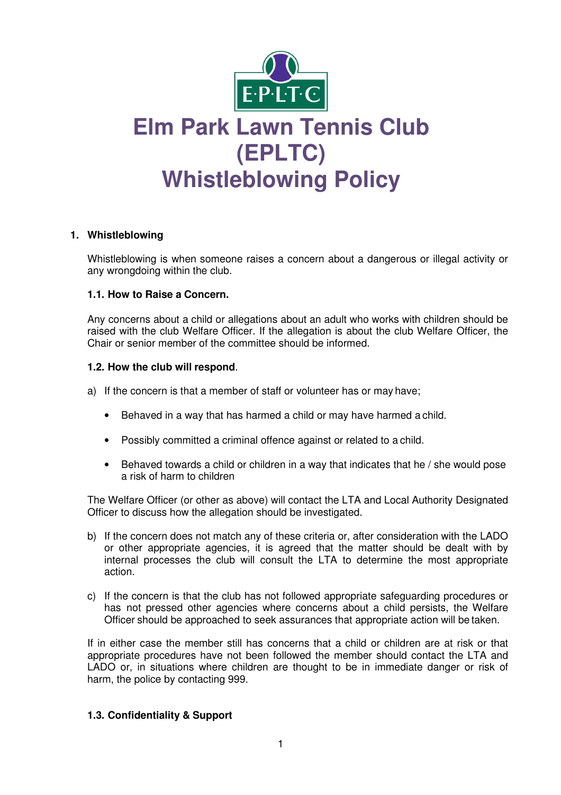

# **Elm Park Lawn Tennis Club (EPLTC) Whistleblowing Policy**

# **1. Whistleblowing**

Whistleblowing is when someone raises a concern about a dangerous or illegal activity or any wrongdoing within the club.

### **1.1. How to Raise a Concern.**

Any concerns about a child or allegations about an adult who works with children should be raised with the club Welfare Officer. If the allegation is about the club Welfare Officer, the Chair or senior member of the committee should be informed.

### **1.2. How the club will respond**.

- a) If the concern is that a member of staff or volunteer has or may have;
	- Behaved in a way that has harmed a child or may have harmed a child.
	- Possibly committed a criminal offence against or related to a child.
	- Behaved towards a child or children in a way that indicates that he / she would pose a risk of harm to children

The Welfare Officer (or other as above) will contact the LTA and Local Authority Designated Officer to discuss how the allegation should be investigated.

- b) If the concern does not match any of these criteria or, after consideration with the LADO or other appropriate agencies, it is agreed that the matter should be dealt with by internal processes the club will consult the LTA to determine the most appropriate action.
- c) If the concern is that the club has not followed appropriate safeguarding procedures or has not pressed other agencies where concerns about a child persists, the Welfare Officer should be approached to seek assurances that appropriate action will be taken.

If in either case the member still has concerns that a child or children are at risk or that appropriate procedures have not been followed the member should contact the LTA and LADO or, in situations where children are thought to be in immediate danger or risk of harm, the police by contacting 999.

# **1.3. Confidentiality & Support**